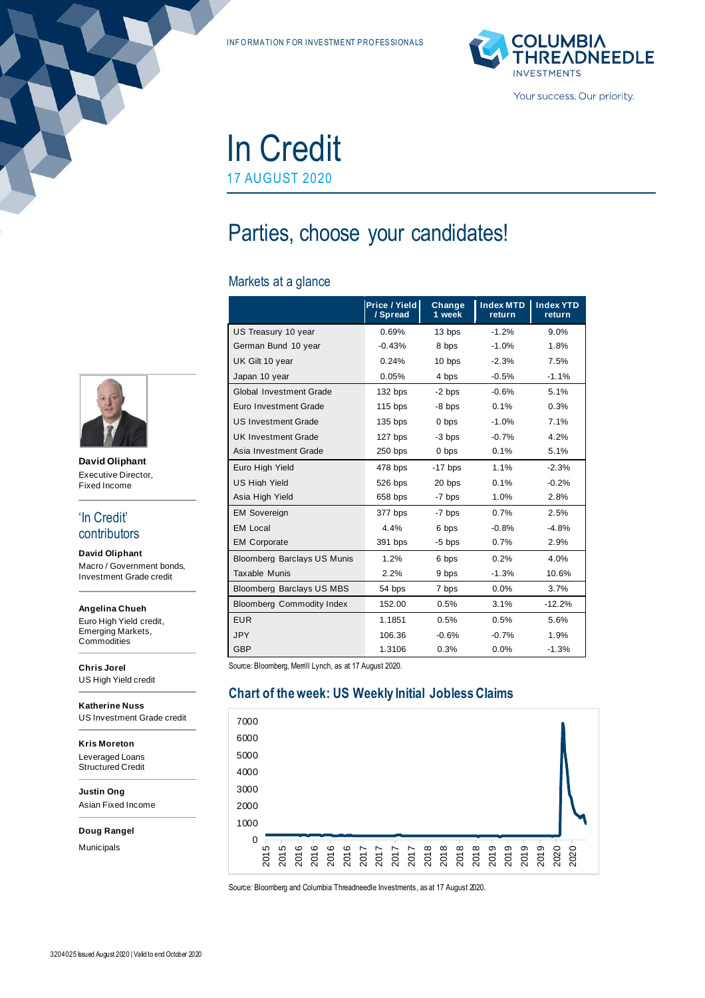INF ORMATION FOR INVESTMENT PROFESSIONALS



In Credit 17 AUGUST 2020

# Parties, choose your candidates!

#### Markets at a glance

|                                    | Price / Yield<br>/ Spread | Change<br>1 week | <b>Index MTD</b><br>return | <b>Index YTD</b><br>return |
|------------------------------------|---------------------------|------------------|----------------------------|----------------------------|
| US Treasury 10 year                | 0.69%                     | 13 bps           | $-1.2%$                    | 9.0%                       |
| German Bund 10 year                | $-0.43%$                  | 8 bps            | $-1.0%$                    | 1.8%                       |
| UK Gilt 10 year                    | 0.24%                     | 10 bps           | $-2.3%$                    | 7.5%                       |
| Japan 10 year                      | 0.05%                     | 4 bps            | $-0.5%$                    | $-1.1%$                    |
| Global Investment Grade            | 132 bps                   | $-2$ bps         | $-0.6%$                    | 5.1%                       |
| Euro Investment Grade              | $115$ bps                 | $-8$ bps         | 0.1%                       | 0.3%                       |
| <b>US Investment Grade</b>         | $135$ bps                 | 0 bps            | $-1.0%$                    | 7.1%                       |
| <b>UK Investment Grade</b>         | 127 bps                   | -3 bps           | $-0.7%$                    | 4.2%                       |
| Asia Investment Grade              | $250$ bps                 | 0 bps            | 0.1%                       | 5.1%                       |
| Euro High Yield                    | 478 bps                   | $-17$ bps        | 1.1%                       | $-2.3%$                    |
| <b>US High Yield</b>               | 526 bps                   | 20 bps           | 0.1%                       | $-0.2%$                    |
| Asia High Yield                    | 658 bps                   | -7 bps           | 1.0%                       | 2.8%                       |
| <b>EM Sovereign</b>                | 377 bps                   | -7 bps           | 0.7%                       | 2.5%                       |
| <b>EM Local</b>                    | 4.4%                      | 6 bps            | $-0.8%$                    | $-4.8%$                    |
| <b>EM Corporate</b>                | 391 bps                   | $-5$ bps         | 0.7%                       | 2.9%                       |
| <b>Bloomberg Barclays US Munis</b> | 1.2%                      | 6 bps            | 0.2%                       | 4.0%                       |
| <b>Taxable Munis</b>               | 2.2%                      | 9 bps            | $-1.3%$                    | 10.6%                      |
| <b>Bloomberg Barclays US MBS</b>   | 54 bps                    | 7 bps            | 0.0%                       | 3.7%                       |
| <b>Bloomberg Commodity Index</b>   | 152.00                    | 0.5%             | 3.1%                       | $-12.2%$                   |
| <b>EUR</b>                         | 1.1851                    | 0.5%             | 0.5%                       | 5.6%                       |
| <b>JPY</b>                         | 106.36                    | $-0.6%$          | $-0.7%$                    | 1.9%                       |
| <b>GBP</b>                         | 1.3106                    | 0.3%             | 0.0%                       | $-1.3%$                    |

Source: Bloomberg, Merrill Lynch, as at 17 August 2020.

# **Chart of the week: US Weekly Initial Jobless Claims**



Source: Bloomberg and Columbia Threadneedle Investments, as at 17 August 2020.



**David Oliphant** Executive Director, Fixed Income

#### 'In Credit' contributors

**David Oliphant** Macro / Government bonds, Investment Grade credit

**Angelina Chueh** Euro High Yield credit, Emerging Markets, **Commodities** 

**Chris Jorel** US High Yield credit

**Katherine Nuss** US Investment Grade credit

**Kris Moreton** Leveraged Loans Structured Credit

**Justin Ong** Asian Fixed Income

**Doug Rangel**

Municipals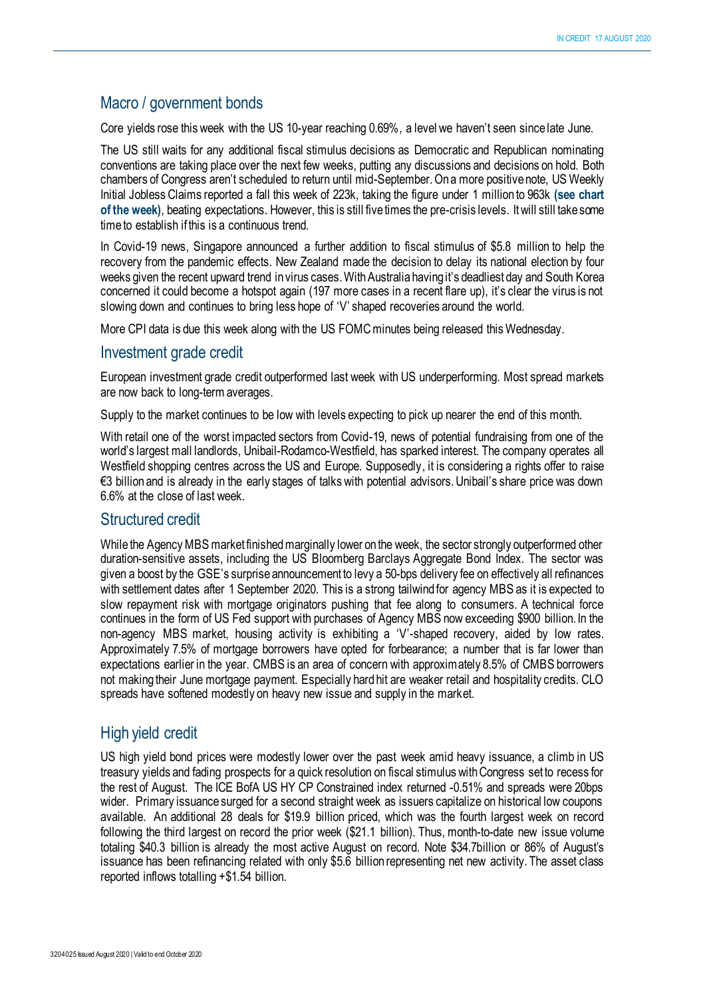# Macro / government bonds

Core yields rose this week with the US 10-year reaching 0.69%, a level we haven't seen since late June.

The US still waits for any additional fiscal stimulus decisions as Democratic and Republican nominating conventions are taking place over the next few weeks, putting any discussions and decisions on hold. Both chambers of Congress aren't scheduled to return until mid-September. On a more positive note, US Weekly Initial Jobless Claims reported a fall this week of 223k, taking the figure under 1 million to 963k **(see chart of the week)**, beating expectations. However, this is still five times the pre-crisis levels. It will still take some time to establish if this is a continuous trend.

In Covid-19 news, Singapore announced a further addition to fiscal stimulus of \$5.8 million to help the recovery from the pandemic effects. New Zealand made the decision to delay its national election by four weeks given the recent upward trend in virus cases. With Australia having it's deadliest day and South Korea concerned it could become a hotspot again (197 more cases in a recent flare up), it's clear the virus is not slowing down and continues to bring less hope of 'V' shaped recoveries around the world.

More CPI data is due this week along with the US FOMC minutes being released this Wednesday.

### Investment grade credit

European investment grade credit outperformed last week with US underperforming. Most spread markets are now back to long-term averages.

Supply to the market continues to be low with levels expecting to pick up nearer the end of this month.

With retail one of the worst impacted sectors from Covid-19, news of potential fundraising from one of the world's largest mall landlords, Unibail-Rodamco-Westfield, has sparked interest. The company operates all Westfield shopping centres across the US and Europe. Supposedly, it is considering a rights offer to raise €3 billion and is already in the early stages of talks with potential advisors. Unibail's share price was down 6.6% at the close of last week.

# Structured credit

While the Agency MBS market finished marginally lower on the week, the sector strongly outperformed other duration-sensitive assets, including the US Bloomberg Barclays Aggregate Bond Index. The sector was given a boost by the GSE's surprise announcement to levy a 50-bps delivery fee on effectively all refinances with settlement dates after 1 September 2020. This is a strong tailwind for agency MBS as it is expected to slow repayment risk with mortgage originators pushing that fee along to consumers. A technical force continues in the form of US Fed support with purchases of Agency MBS now exceeding \$900 billion. In the non-agency MBS market, housing activity is exhibiting a 'V'-shaped recovery, aided by low rates. Approximately 7.5% of mortgage borrowers have opted for forbearance; a number that is far lower than expectations earlier in the year. CMBS is an area of concern with approximately 8.5% of CMBS borrowers not making their June mortgage payment. Especially hard hit are weaker retail and hospitality credits. CLO spreads have softened modestly on heavy new issue and supply in the market.

# High yield credit

US high yield bond prices were modestly lower over the past week amid heavy issuance, a climb in US treasury yields and fading prospects for a quick resolution on fiscal stimulus with Congress set to recess for the rest of August. The ICE BofA US HY CP Constrained index returned -0.51% and spreads were 20bps wider. Primary issuance surged for a second straight week as issuers capitalize on historical low coupons available. An additional 28 deals for \$19.9 billion priced, which was the fourth largest week on record following the third largest on record the prior week (\$21.1 billion). Thus, month-to-date new issue volume totaling \$40.3 billion is already the most active August on record. Note \$34.7billion or 86% of August's issuance has been refinancing related with only \$5.6 billion representing net new activity. The asset class reported inflows totalling +\$1.54 billion.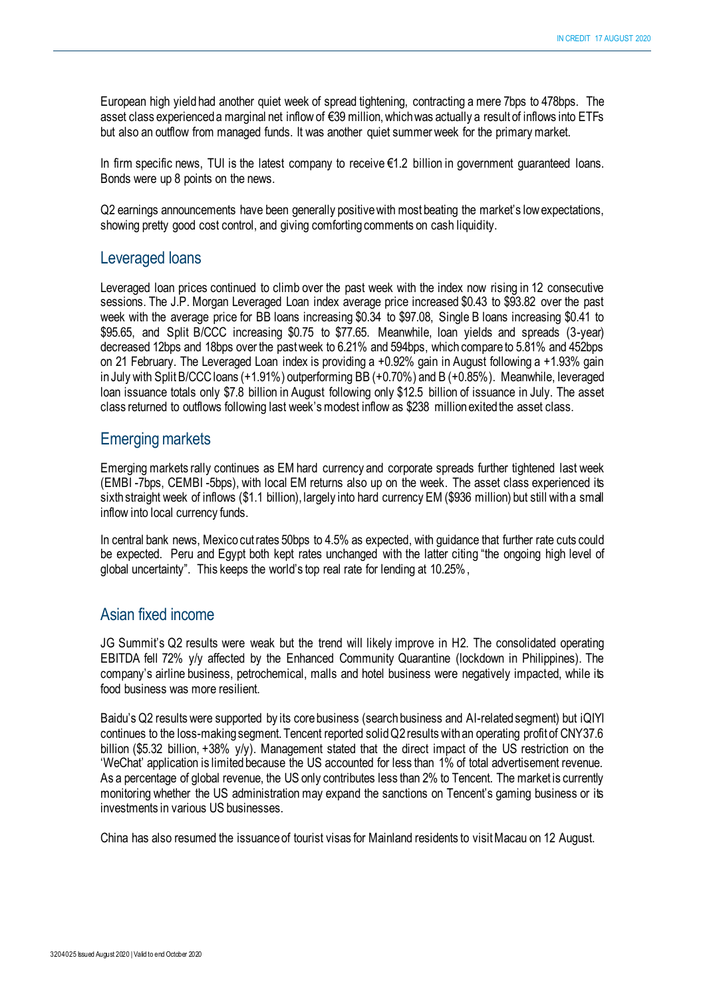European high yield had another quiet week of spread tightening, contracting a mere 7bps to 478bps. The asset class experienced a marginal net inflow of €39 million,which was actually a result of inflows into ETFs but also an outflow from managed funds. It was another quiet summer week for the primary market.

In firm specific news, TUI is the latest company to receive €1.2 billion in government guaranteed loans. Bonds were up 8 points on the news.

Q2 earnings announcements have been generally positive with most beating the market's low expectations, showing pretty good cost control, and giving comforting comments on cash liquidity.

# Leveraged loans

Leveraged loan prices continued to climb over the past week with the index now rising in 12 consecutive sessions. The J.P. Morgan Leveraged Loan index average price increased \$0.43 to \$93.82 over the past week with the average price for BB loans increasing \$0.34 to \$97.08, Single B loans increasing \$0.41 to \$95.65, and Split B/CCC increasing \$0.75 to \$77.65. Meanwhile, loan yields and spreads (3-year) decreased 12bps and 18bps over the past week to 6.21% and 594bps, which compare to 5.81% and 452bps on 21 February. The Leveraged Loan index is providing a +0.92% gain in August following a +1.93% gain in July with Split B/CCC loans (+1.91%) outperforming BB (+0.70%) and B (+0.85%). Meanwhile, leveraged loan issuance totals only \$7.8 billion in August following only \$12.5 billion of issuance in July. The asset class returned to outflows following last week's modest inflow as \$238 million exited the asset class.

#### Emerging markets

Emerging markets rally continues as EM hard currency and corporate spreads further tightened last week (EMBI -7bps, CEMBI -5bps), with local EM returns also up on the week. The asset class experienced its sixth straight week of inflows (\$1.1 billion), largely into hard currency EM (\$936 million) but still with a small inflow into local currency funds.

In central bank news, Mexico cut rates 50bps to 4.5% as expected, with guidance that further rate cuts could be expected. Peru and Egypt both kept rates unchanged with the latter citing "the ongoing high level of global uncertainty". This keeps the world's top real rate for lending at 10.25%,

# Asian fixed income

JG Summit's Q2 results were weak but the trend will likely improve in H2. The consolidated operating EBITDA fell 72% y/y affected by the Enhanced Community Quarantine (lockdown in Philippines). The company's airline business, petrochemical, malls and hotel business were negatively impacted, while its food business was more resilient.

Baidu's Q2 results were supported by its core business (search business and AI-related segment) but iQIYI continues to the loss-making segment. Tencent reported solid Q2 results with an operating profit of CNY37.6 billion (\$5.32 billion, +38% y/y). Management stated that the direct impact of the US restriction on the 'WeChat' application is limited because the US accounted for less than 1% of total advertisement revenue. As a percentage of global revenue, the US only contributes less than 2% to Tencent. The market is currently monitoring whether the US administration may expand the sanctions on Tencent's gaming business or its investments in various US businesses.

China has also resumed the issuance of tourist visas for Mainland residents to visit Macau on 12 August.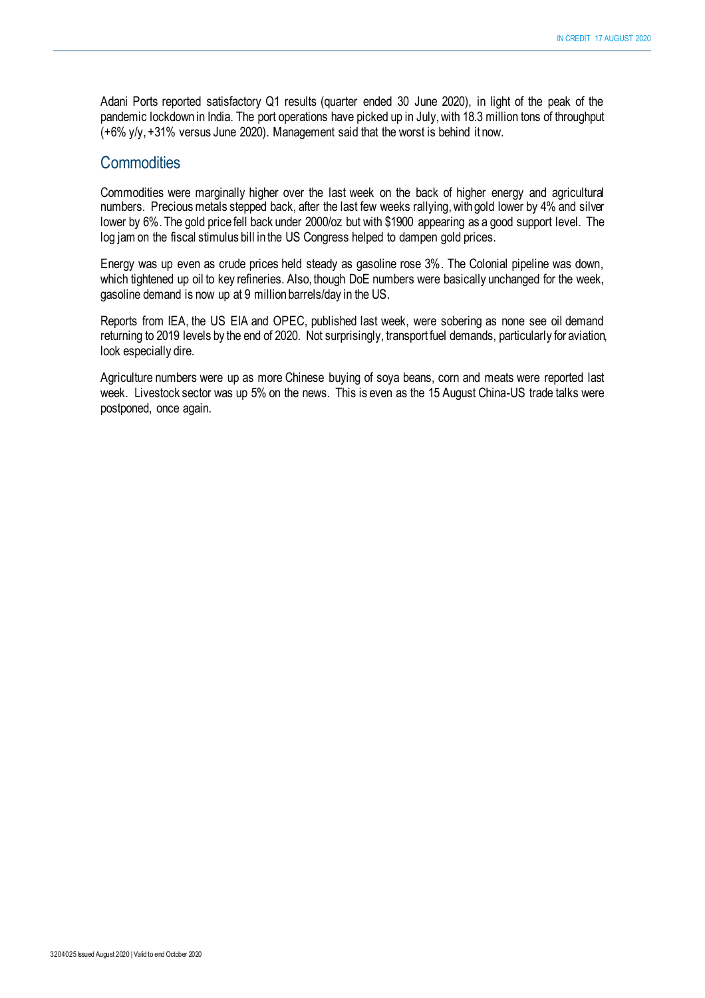Adani Ports reported satisfactory Q1 results (quarter ended 30 June 2020), in light of the peak of the pandemic lockdown in India. The port operations have picked up in July, with 18.3 million tons of throughput (+6% y/y, +31% versus June 2020). Management said that the worst is behind it now.

### **Commodities**

Commodities were marginally higher over the last week on the back of higher energy and agricultural numbers. Precious metals stepped back, after the last few weeks rallying,with gold lower by 4% and silver lower by 6%. The gold price fell back under 2000/oz but with \$1900 appearing as a good support level. The log jam on the fiscal stimulus bill in the US Congress helped to dampen gold prices.

Energy was up even as crude prices held steady as gasoline rose 3%. The Colonial pipeline was down, which tightened up oil to key refineries. Also, though DoE numbers were basically unchanged for the week, gasoline demand is now up at 9 million barrels/day in the US.

Reports from IEA, the US EIA and OPEC, published last week, were sobering as none see oil demand returning to 2019 levels by the end of 2020. Not surprisingly, transport fuel demands, particularly for aviation, look especially dire.

Agriculture numbers were up as more Chinese buying of soya beans, corn and meats were reported last week. Livestock sector was up 5% on the news. This is even as the 15 August China-US trade talks were postponed, once again.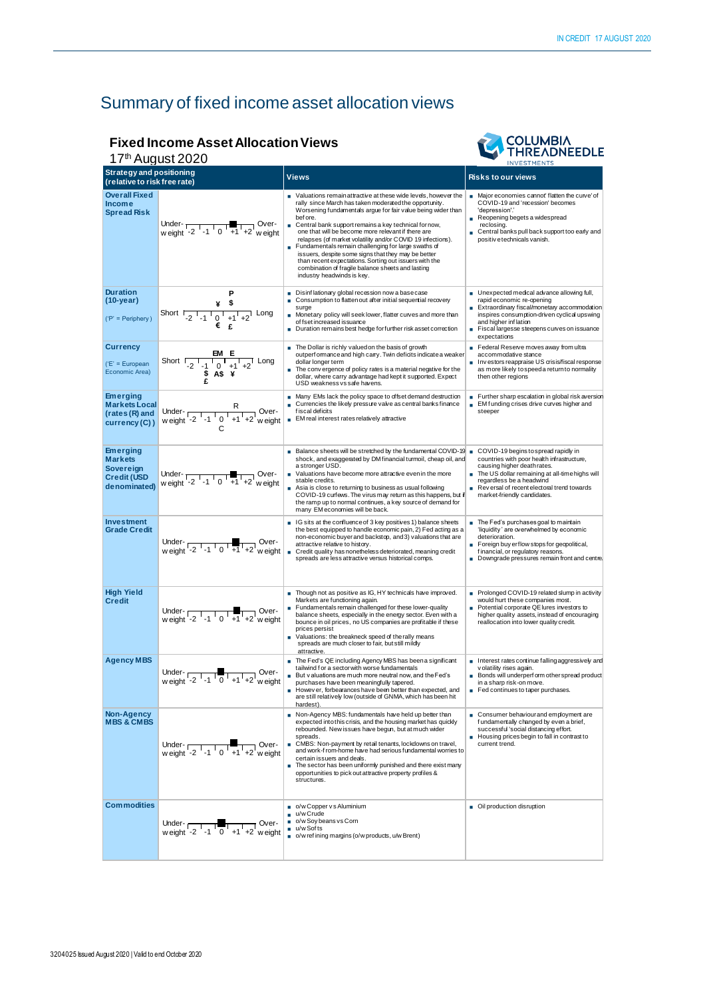# Summary of fixed income asset allocation views

# **Fixed Income Asset Allocation Views**

|                                                                                      | <b>Fixed Income Asset Allocation Views</b><br>17 <sup>th</sup> August 2020                                                                                                                                                                                                                                                                                                                               | <b>COLUMBIA<br/>THREADNEEDLE</b>                                                                                                                                                                                                                                                                                                                                                                                                                                                                                                                                                                                                                   |                                                                                                                                                                                                                                                                                         |
|--------------------------------------------------------------------------------------|----------------------------------------------------------------------------------------------------------------------------------------------------------------------------------------------------------------------------------------------------------------------------------------------------------------------------------------------------------------------------------------------------------|----------------------------------------------------------------------------------------------------------------------------------------------------------------------------------------------------------------------------------------------------------------------------------------------------------------------------------------------------------------------------------------------------------------------------------------------------------------------------------------------------------------------------------------------------------------------------------------------------------------------------------------------------|-----------------------------------------------------------------------------------------------------------------------------------------------------------------------------------------------------------------------------------------------------------------------------------------|
| <b>Strategy and positioning</b><br>(relative to risk free rate)                      |                                                                                                                                                                                                                                                                                                                                                                                                          | Views                                                                                                                                                                                                                                                                                                                                                                                                                                                                                                                                                                                                                                              | <b>Risks to our views</b>                                                                                                                                                                                                                                                               |
| <b>Overall Fixed</b><br><b>Income</b><br><b>Spread Risk</b>                          | Under- $\frac{1}{100}$ Over-<br>weight -2 $-1$ 0 $+1$ +2 weight                                                                                                                                                                                                                                                                                                                                          | ■ Valuations remainattractive at these wide levels, however the<br>rally since March has taken moderated the opportunity.<br>Worsening fundamentals argue for fair value being wider than<br>bef ore.<br>Central bank support remains a key technical fornow,<br>٠<br>one that will be become more relevant if there are<br>relapses (of market volatility and/or COVID 19 infections).<br>Fundamentals remain challenging for large swaths of<br>issuers, despite some signs that they may be better<br>than recent expectations. Sorting out issuers with the<br>combination of fragile balance sheets and lasting<br>industry headwinds is key. | Major economies cannot' flatten the curve' of<br>COVID-19 and 'recession' becomes<br>'depression'.'<br>Reopening begets a widespread<br>reclosing.<br>■ Central banks pull back support too early and<br>positiv e technicals vanish.                                                   |
| <b>Duration</b><br>$(10-year)$<br>$('P' = Periphery)$                                | Ρ<br>Short $\frac{4}{2}$ $\frac{5}{1}$ $\frac{1}{2}$ $\frac{1}{1}$ $\frac{1}{2}$ $\frac{1}{1}$ $\frac{1}{1}$ $\frac{1}{1}$ $\frac{1}{1}$ $\frac{1}{1}$ $\frac{1}{1}$ Long                                                                                                                                                                                                                                | Disinflationary global recession now a basecase<br>٠<br>Consumption to flatten out after initial sequential recovery<br>٠<br>surge<br>Monetary policy will seek lower, flatter curves and more than<br>of fset increased issuance<br>Duration remains best hedge forfurther risk asset correction                                                                                                                                                                                                                                                                                                                                                  | Unexpected medical advance allowing full,<br>rapid economic re-opening<br>Extraordinary fiscal/monetary accommodation<br>inspires consumption-driven cyclical upswing<br>and higher inflation<br>Fiscal largesse steepens curves on issuance<br>expectations                            |
| <b>Currency</b><br>$(E' = European$<br>Economic Area)                                | Short $\frac{\text{EM E}}{-2 \cdot 1 \cdot 0 \cdot 4 \cdot 4 \cdot 2}$ Long<br>\$ A\$ \text{ \text{ \text{ \text{ \text{ \text{ \text{ \text{ \text{ \text{ \text{ \text{ \text{ \text{ \text{ \text{ \text{ \text{ \text{ \text{ \text{ \text{ \text{ \text{ \te                                                                                                                                        | The Dollar is richly valued on the basis of growth<br>outperf ormance and high carry. Twin deficits indicate a weaker<br>dollar longer term<br>The convergence of policy rates is a material negative for the<br>dollar, where carry advantage had kept it supported. Expect<br>USD weakness vs safe havens.                                                                                                                                                                                                                                                                                                                                       | Federal Reserve moves away from ultra<br>accommodative stance<br>Investors reappraise US crisis/fiscal response<br>as more likely to speed a return to normality<br>then other regions                                                                                                  |
| <b>Emerging</b><br><b>Markets Local</b><br>(rates (R) and<br>currency (C))           | Under-<br>weight $\frac{R}{2^{1}-1}$ o $\frac{R}{1+1+2}$ weight                                                                                                                                                                                                                                                                                                                                          | Many EMs lack the policy space to offset demand destruction<br>Currencies the likely pressure valve as central banks finance<br>f is cal deficits<br>■ EM real interest rates relatively attractive                                                                                                                                                                                                                                                                                                                                                                                                                                                | Further sharp escalation in global risk aversion<br><b>EMfunding crises drive curves higher and</b><br>steeper                                                                                                                                                                          |
| <b>Emerging</b><br><b>Markets</b><br>Sovereign<br><b>Credit (USD</b><br>denominated) | Under- $\sqrt{2 + 1 + 1 + 2}$ Over-<br>weight -2 -1 0 +1 +2 weight                                                                                                                                                                                                                                                                                                                                       | Balance sheets will be stretched by the fundamental COVID-19 $\blacksquare$<br>shock, and exaggerated by DM financial turmoil, cheap oil, and<br>a stronger USD.<br>Valuations have become more attractive even in the more<br>stable credits.<br>Asia is close to returning to business as usual following<br>COVID-19 curfews. The virus may return as this happens, but if<br>the ramp up to normal continues, a key source of demand for<br>many EM economies will be back.                                                                                                                                                                    | COVID-19 begins to spread rapidly in<br>countries with poor health infrastructure,<br>causing higher death rates.<br>The US dollar remaining at all-time highs will<br>٠<br>regardless be a headwind<br>٠<br>Rev ersal of recent electoral trend towards<br>market-friendly candidates. |
| <b>Investment</b><br><b>Grade Credit</b>                                             | Under- $\frac{1}{12}$ -1 0 +1 +2 weight                                                                                                                                                                                                                                                                                                                                                                  | ■ IG sits at the confluence of 3 key positives 1) balance sheets<br>the best equipped to handle economic pain, 2) Fed acting as a<br>non-economic buyer and backstop, and 3) valuations that are<br>attractive relative to history.<br>Credit quality has nonetheless deteriorated, meaning credit<br>spreads are less attractive versus historical comps.                                                                                                                                                                                                                                                                                         | ■ The Fed's purchases goal to maintain<br>'liquidity' are overwhelmed by economic<br>deterioration.<br>Foreign buy erflow stops for geopolitical,<br>financial, or regulatory reasons.<br>Downgrade pressures remain front and centre.                                                  |
| <b>High Yield</b><br><b>Credit</b>                                                   | Under- $\frac{1}{10}$ Over-<br>weight -2 -1 0 +1 +2 weight                                                                                                                                                                                                                                                                                                                                               | Though not as positive as IG, HY technicals have improved.<br>٠<br>Markets are functioning again.<br>Fundamentals remain challenged for these lower-quality<br>٠<br>balance sheets, especially in the energy sector. Even with a<br>bounce in oil prices, no US companies are profitable if these<br>prices persist<br>Valuations: the breakneck speed of the rally means<br>Ē.<br>spreads are much closer to fair, but still mildly<br>attractive.                                                                                                                                                                                                | Prolonged COVID-19 related slump in activity<br>would hurt these companies most.<br>Potential corporate QE lures investors to<br>higher quality assets, instead of encouraging<br>reallocation into lower quality credit.                                                               |
| <b>Agency MBS</b>                                                                    | Under- $\frac{1}{1}$ -1 $\frac{1}{0}$ +1 +2 weight                                                                                                                                                                                                                                                                                                                                                       | The Fed's QE including Agency MBS has been a significant<br>tailwind for a sector with worse fundamentals<br>But v aluations are much more neutral now, and the Fed's<br>purchases have been meaningfully tapered.<br>Howev er, forbearances have been better than expected, and<br>are still relatively low (outside of GNMA, which has been hit<br>hardest).                                                                                                                                                                                                                                                                                     | Interest rates continue falling aggressively and<br>v olatility rises again.<br>Bonds will underperf orm other spread product<br>in a sharp risk-on move.<br>Fed continues to taper purchases.                                                                                          |
| Non-Agency<br><b>MBS &amp; CMBS</b>                                                  | Under- $\begin{array}{ccc}\n\sqrt{11} & \sqrt{11} & \sqrt{11} \\ \sqrt{11} & \sqrt{11} & \sqrt{11} \\ \sqrt{11} & \sqrt{11} & \sqrt{11} \\ \sqrt{11} & \sqrt{11} & \sqrt{11} \\ \sqrt{11} & \sqrt{11} & \sqrt{11} \\ \sqrt{11} & \sqrt{11} & \sqrt{11} \\ \sqrt{11} & \sqrt{11} & \sqrt{11} \\ \sqrt{11} & \sqrt{11} & \sqrt{11} \\ \sqrt{11} & \sqrt{11} & \sqrt{11} \\ \sqrt{11} & \sqrt{11} & \sqrt{$ | Non-Agency MBS: fundamentals have held up better than<br>expected into this crisis, and the housing market has quickly<br>rebounded. New issues have begun, but at much wider<br>spreads.<br>CMBS: Non-payment by retail tenants, lockdowns on travel,<br>×,<br>and work-f rom-home have had serious fundamental worries to<br>certain issuers and deals.<br>The sector has been uniformly punished and there exist many<br>opportunities to pick out attractive property profiles &<br>structures.                                                                                                                                                | Consumer behaviour and employment are<br>f undamentally changed by even a brief,<br>successful 'social distancing effort.<br>Housing prices begin to fall in contrast to<br>current trend.                                                                                              |
| <b>Commodities</b>                                                                   | Under-<br>weight -2 -1 0 +1 +2 weight                                                                                                                                                                                                                                                                                                                                                                    | o/w Copper vs Aluminium<br>u/w Crude<br>o/w Soy beans vs Corn<br>u/w Sof ts<br>o/w ref ining margins (o/w products, u/w Brent)                                                                                                                                                                                                                                                                                                                                                                                                                                                                                                                     | Oil production disruption                                                                                                                                                                                                                                                               |